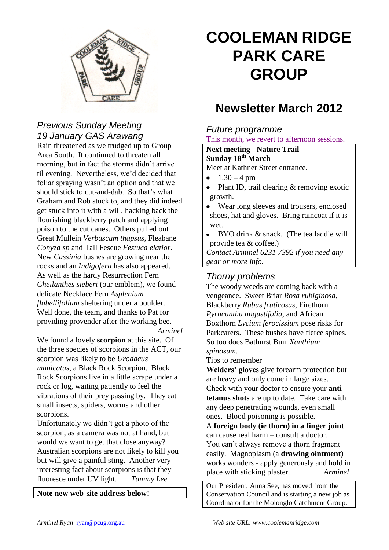

# *Previous Sunday Meeting 19 January GAS Arawang*

Rain threatened as we trudged up to Group Area South. It continued to threaten all morning, but in fact the storms didn't arrive til evening. Nevertheless, we'd decided that foliar spraying wasn't an option and that we should stick to cut-and-dab. So that's what Graham and Rob stuck to, and they did indeed get stuck into it with a will, hacking back the flourishing blackberry patch and applying poison to the cut canes. Others pulled out Great Mullein *Verbascum thapsus*, Fleabane *Conyza sp* and Tall Fescue *Festuca elatior*. New *Cassinia* bushes are growing near the rocks and an *Indigofera* has also appeared. As well as the hardy Resurrection Fern *Cheilanthes sieberi* (our emblem), we found delicate Necklace Fern *Asplenium flabellifolium* sheltering under a boulder. Well done, the team, and thanks to Pat for providing provender after the working bee. *Arminel*

We found a lovely **scorpion** at this site. Of the three species of scorpions in the ACT, our scorpion was likely to be *Urodacus manicatus*, a Black Rock Scorpion. Black Rock Scorpions live in a little scrape under a rock or log, waiting patiently to feel the vibrations of their prey passing by. They eat small insects, spiders, worms and other scorpions.

Unfortunately we didn't get a photo of the scorpion, as a camera was not at hand, but would we want to get that close anyway? Australian scorpions are not likely to kill you but will give a painful sting. Another very interesting fact about scorpions is that they fluoresce under UV light. *Tammy Lee*

**Note new web-site address below!**

# **COOLEMAN RIDGE PARK CARE GROUP**

# **Newsletter March 2012**

#### *Future programme* This month, we revert to afternoon sessions.

### **Next meeting - Nature Trail Sunday 18th March**

Meet at Kathner Street entrance.

- $1.30 4$  pm
- Plant ID, trail clearing & removing exotic growth.
- Wear long sleeves and trousers, enclosed shoes, hat and gloves. Bring raincoat if it is wet.
- $\bullet$ BYO drink & snack. (The tea laddie will provide tea & coffee.)

*Contact Arminel 6231 7392 if you need any gear or more info.*

#### *Thorny problems*

The woody weeds are coming back with a vengeance. Sweet Briar *Rosa rubiginosa*, Blackberry *Rubus fruticosus*, Firethorn *Pyracantha angustifolia*, and African Boxthorn *Lycium ferocissium* pose risks for Parkcarers. These bushes have fierce spines. So too does Bathurst Burr *Xanthium spinosum*.

#### Tips to remember

**Welders' gloves** give forearm protection but are heavy and only come in large sizes. Check with your doctor to ensure your **antitetanus shots** are up to date. Take care with any deep penetrating wounds, even small ones. Blood poisoning is possible.

A **foreign body (ie thorn) in a finger joint** can cause real harm – consult a doctor. You can't always remove a thorn fragment easily. Magnoplasm (a **drawing ointment)** works wonders - apply generously and hold in place with sticking plaster. *Arminel*

Our President, Anna See, has moved from the Conservation Council and is starting a new job as Coordinator for the Molonglo Catchment Group.